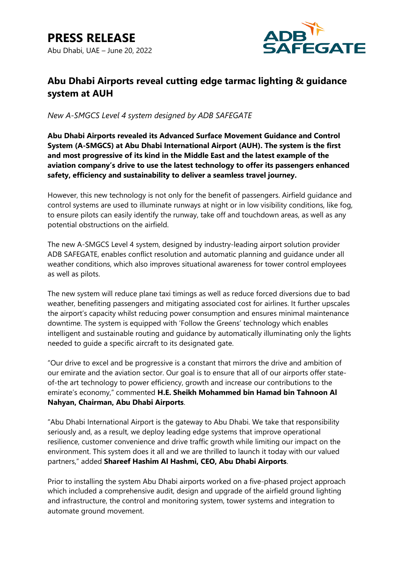

# **Abu Dhabi Airports reveal cutting edge tarmac lighting & guidance system at AUH**

*New A-SMGCS Level 4 system designed by ADB SAFEGATE*

**Abu Dhabi Airports revealed its Advanced Surface Movement Guidance and Control System (A-SMGCS) at Abu Dhabi International Airport (AUH). The system is the first and most progressive of its kind in the Middle East and the latest example of the aviation company's drive to use the latest technology to offer its passengers enhanced safety, efficiency and sustainability to deliver a seamless travel journey.**

However, this new technology is not only for the benefit of passengers. Airfield guidance and control systems are used to illuminate runways at night or in low visibility conditions, like fog, to ensure pilots can easily identify the runway, take off and touchdown areas, as well as any potential obstructions on the airfield.

The new A-SMGCS Level 4 system, designed by industry-leading airport solution provider ADB SAFEGATE, enables conflict resolution and automatic planning and guidance under all weather conditions, which also improves situational awareness for tower control employees as well as pilots.

The new system will reduce plane taxi timings as well as reduce forced diversions due to bad weather, benefiting passengers and mitigating associated cost for airlines. It further upscales the airport's capacity whilst reducing power consumption and ensures minimal maintenance downtime. The system is equipped with 'Follow the Greens' technology which enables intelligent and sustainable routing and guidance by automatically illuminating only the lights needed to guide a specific aircraft to its designated gate.

"Our drive to excel and be progressive is a constant that mirrors the drive and ambition of our emirate and the aviation sector. Our goal is to ensure that all of our airports offer stateof-the art technology to power efficiency, growth and increase our contributions to the emirate's economy," commented **H.E. Sheikh Mohammed bin Hamad bin Tahnoon Al Nahyan, Chairman, Abu Dhabi Airports**.

"Abu Dhabi International Airport is the gateway to Abu Dhabi. We take that responsibility seriously and, as a result, we deploy leading edge systems that improve operational resilience, customer convenience and drive traffic growth while limiting our impact on the environment. This system does it all and we are thrilled to launch it today with our valued partners," added **Shareef Hashim Al Hashmi, CEO, Abu Dhabi Airports**.

Prior to installing the system Abu Dhabi airports worked on a five-phased project approach which included a comprehensive audit, design and upgrade of the airfield ground lighting and infrastructure, the control and monitoring system, tower systems and integration to automate ground movement.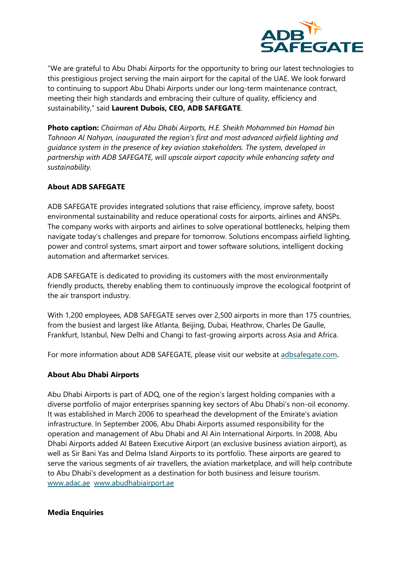

"We are grateful to Abu Dhabi Airports for the opportunity to bring our latest technologies to this prestigious project serving the main airport for the capital of the UAE. We look forward to continuing to support Abu Dhabi Airports under our long-term maintenance contract, meeting their high standards and embracing their culture of quality, efficiency and sustainability," said **Laurent Dubois, CEO, ADB SAFEGATE**.

**Photo caption:** *Chairman of Abu Dhabi Airports, H.E. Sheikh Mohammed bin Hamad bin Tahnoon Al Nahyan, inaugurated the region's first and most advanced airfield lighting and guidance system in the presence of key aviation stakeholders. The system, developed in partnership with ADB SAFEGATE, will upscale airport capacity while enhancing safety and sustainability.*

### **About ADB SAFEGATE**

ADB SAFEGATE provides integrated solutions that raise efficiency, improve safety, boost environmental sustainability and reduce operational costs for airports, airlines and ANSPs. The company works with airports and airlines to solve operational bottlenecks, helping them navigate today's challenges and prepare for tomorrow. Solutions encompass airfield lighting, power and control systems, smart airport and tower software solutions, intelligent docking automation and aftermarket services.

ADB SAFEGATE is dedicated to providing its customers with the most environmentally friendly products, thereby enabling them to continuously improve the ecological footprint of the air transport industry.

With 1,200 employees, ADB SAFEGATE serves over 2,500 airports in more than 175 countries, from the busiest and largest like Atlanta, Beijing, Dubai, Heathrow, Charles De Gaulle, Frankfurt, Istanbul, New Delhi and Changi to fast-growing airports across Asia and Africa.

For more information about ADB SAFEGATE, please visit our website at [adbsafegate.com](http://adbsafegate.com/)**.**

#### **About Abu Dhabi Airports**

Abu Dhabi Airports is part of ADQ, one of the region's largest holding companies with a diverse portfolio of major enterprises spanning key sectors of Abu Dhabi's non-oil economy. It was established in March 2006 to spearhead the development of the Emirate's aviation infrastructure. In September 2006, Abu Dhabi Airports assumed responsibility for the operation and management of Abu Dhabi and Al Ain International Airports. In 2008, Abu Dhabi Airports added Al Bateen Executive Airport (an exclusive business aviation airport), as well as Sir Bani Yas and Delma Island Airports to its portfolio. These airports are geared to serve the various segments of air travellers, the aviation marketplace, and will help contribute to Abu Dhabi's development as a destination for both business and leisure tourism. [www.adac.ae](http://www.adac.ae/) [www.abudhabiairport.ae](http://www.abudhabiairport.ae/)

#### **Media Enquiries**